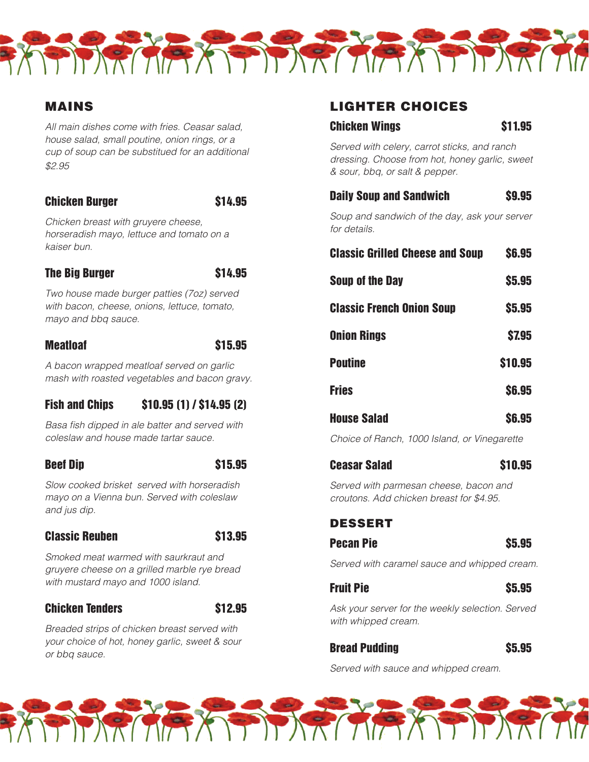

# MAINS

*All main dishes come with fries. Ceasar salad, house salad, small poutine, onion rings, or a cup of soup can be substitued for an additional \$2.95*

#### Chicken Burger \$14.95

*Chicken breast with gruyere cheese, horseradish mayo, lettuce and tomato on a kaiser bun.*

# The Big Burger \$14.95

*Two house made burger patties (7oz) served with bacon, cheese, onions, lettuce, tomato, mayo and bbq sauce.*

# Meatloaf \$15.95

*A bacon wrapped meatloaf served on garlic mash with roasted vegetables and bacon gravy.*

# Fish and Chips \$10.95 (1) / \$14.95 (2)

Basa fish dipped in ale batter and served with *coleslaw and house made tartar sauce.*

# Beef Dip **\$15.95**

*Slow cooked brisket served with horseradish mayo on a Vienna bun. Served with coleslaw and jus dip.*

# Classic Reuben **\$13.95**

*Smoked meat warmed with saurkraut and gruyere cheese on a grilled marble rye bread with mustard mayo and 1000 island.*

#### Chicken Tenders **\$12.95**

*Breaded strips of chicken breast served with your choice of hot, honey garlic, sweet & sour or bbq sauce.*

# LIGHTER CHOICES

#### Chicken Wings **\$11.95**

*Served with celery, carrot sticks, and ranch dressing. Choose from hot, honey garlic, sweet & sour, bbq, or salt & pepper.*

| <b>Daily Soup and Sandwich</b>                                | \$9.95       |
|---------------------------------------------------------------|--------------|
| Soup and sandwich of the day, ask your server<br>for details. |              |
| <b>Classic Grilled Cheese and Soup</b>                        | <b>S6,95</b> |
| <b>Soup of the Day</b>                                        | <b>S5,95</b> |
| <b>Classic French Onion Soup</b>                              | \$5.95       |
| <b>Onion Rings</b>                                            | <b>S7.95</b> |
| <b>Poutine</b>                                                | \$10.95      |

Fries \$6.95

| <b>House Salad</b> | <b>\$6.95</b> |
|--------------------|---------------|
|                    |               |

*Choice of Ranch, 1000 Island, or Vinegarette*

| <b>Ceasar Salad</b> | <b>\$10.95</b> |
|---------------------|----------------|
|---------------------|----------------|

*Served with parmesan cheese, bacon and croutons. Add chicken breast for \$4.95.*

# DESSERT

| Pecan Pie |  | <b>\$5.95</b> |
|-----------|--|---------------|
|           |  |               |

*Served with caramel sauce and whipped cream.*

# Fruit Pie **\$5.95**

*Ask your server for the weekly selection. Served with whipped cream.*

# Bread Pudding **\$5.95**

*Served with sauce and whipped cream.*

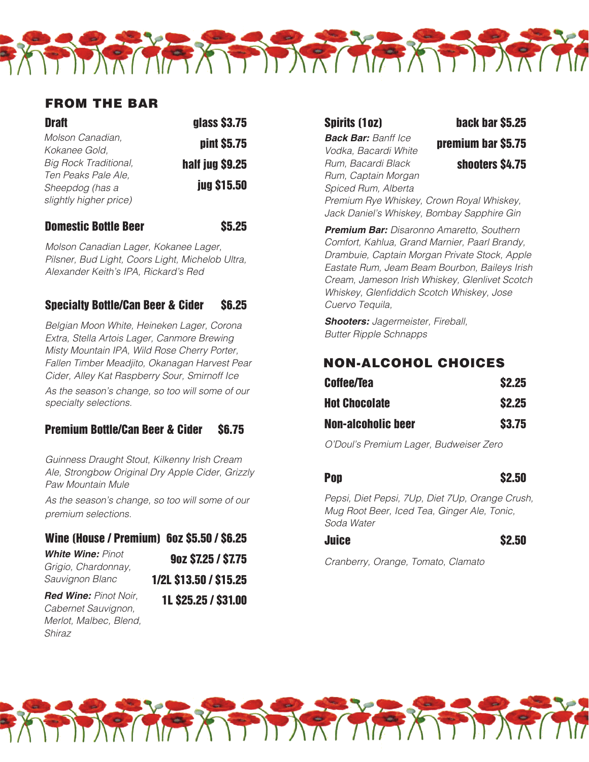# FROM THE BAR

| <b>Draft</b>                 | glass \$3.75       |
|------------------------------|--------------------|
| Molson Canadian,             | pint \$5.75        |
| Kokanee Gold,                |                    |
| <b>Big Rock Traditional,</b> | half jug \$9.25    |
| Ten Peaks Pale Ale,          |                    |
| Sheepdog (has a              | <b>jug \$15.50</b> |
| slightly higher price)       |                    |
|                              |                    |

#### Domestic Bottle Beer 65.25

*Molson Canadian Lager, Kokanee Lager, Pilsner, Bud Light, Coors Light, Michelob Ultra, Alexander Keith's IPA, Rickard's Red*

#### Specialty Bottle/Can Beer & Cider \$6.25

*Belgian Moon White, Heineken Lager, Corona Extra, Stella Artois Lager, Canmore Brewing Misty Mountain IPA, Wild Rose Cherry Porter, Fallen Timber Meadjito, Okanagan Harvest Pear Cider, Alley Kat Raspberry Sour, Smirnoff Ice*

*As the season's change, so too will some of our specialty selections.*

#### Premium Bottle/Can Beer & Cider \$6.75

*Guinness Draught Stout, Kilkenny Irish Cream Ale, Strongbow Original Dry Apple Cider, Grizzly Paw Mountain Mule*

*As the season's change, so too will some of our premium selections.*

#### Wine (House / Premium) 6oz \$5.50 / \$6.25

| <b>White Wine: Pinot</b>     | 90Z \$7.25 / \$7.75    |  |
|------------------------------|------------------------|--|
| Grigio, Chardonnay,          |                        |  |
| Sauvignon Blanc              | 1/2L \$13.50 / \$15.25 |  |
| <b>Red Wine: Pinot Noir,</b> | 1L \$25.25 / \$31.00   |  |

*Cabernet Sauvignon, Merlot, Malbec, Blend, Shiraz*

1L \$25.25 / \$31.00

PIDRICIA AS DIRICIA AS DIRIC

**Back Bar:** *Banff Ice Vodka, Bacardi White Rum, Bacardi Black Rum, Captain Morgan Spiced Rum, Alberta* 

Spirits (1oz) back bar \$5.25 premium bar \$5.75 shooters \$4.75

*Premium Rye Whiskey, Crown Royal Whiskey, Jack Daniel's Whiskey, Bombay Sapphire Gin*

**Premium Bar:** *Disaronno Amaretto, Southern Comfort, Kahlua, Grand Marnier, Paarl Brandy, Drambuie, Captain Morgan Private Stock, Apple Eastate Rum, Jeam Beam Bourbon, Baileys Irish Cream, Jameson Irish Whiskey, Glenlivet Scotch*  Whiskey, Glenfiddich Scotch Whiskey, Jose *Cuervo Tequila,* 

**Shooters:** *Jagermeister, Fireball, Butter Ripple Schnapps*

# NON-ALCOHOL CHOICES

| <b>Coffee/Tea</b>         | <b>\$2.25</b> |
|---------------------------|---------------|
| <b>Hot Chocolate</b>      | <b>\$2.25</b> |
| <b>Non-alcoholic beer</b> | <b>S3.75</b>  |

*O'Doul's Premium Lager, Budweiser Zero*

#### Pop \$2.50

*Pepsi, Diet Pepsi, 7Up, Diet 7Up, Orange Crush, Mug Root Beer, Iced Tea, Ginger Ale, Tonic, Soda Water*

Juice \$2.50

*Cranberry, Orange, Tomato, Clamato*